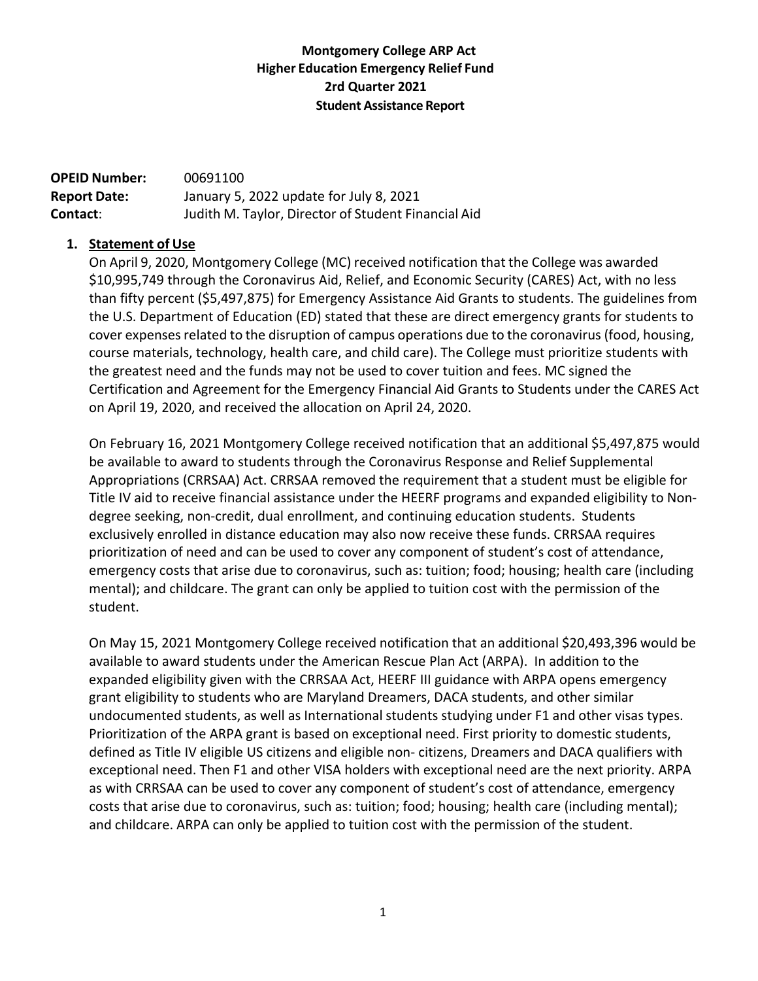## **Montgomery College ARP Act Higher Education Emergency Relief Fund 2rd Quarter 2021 Student Assistance Report**

**OPEID Number:** 00691100 **Report Date:** January 5, 2022 update for July 8, 2021 **Contact**: Judith M. Taylor, Director of Student Financial Aid

## **1. Statement of Use**

On April 9, 2020, Montgomery College (MC) received notification that the College was awarded \$10,995,749 through the Coronavirus Aid, Relief, and Economic Security (CARES) Act, with no less than fifty percent (\$5,497,875) for Emergency Assistance Aid Grants to students. The guidelines from the U.S. Department of Education (ED) stated that these are direct emergency grants for students to cover expenses related to the disruption of campus operations due to the coronavirus (food, housing, course materials, technology, health care, and child care). The College must prioritize students with the greatest need and the funds may not be used to cover tuition and fees. MC signed the Certification and Agreement for the Emergency Financial Aid Grants to Students under the CARES Act on April 19, 2020, and received the allocation on April 24, 2020.

On February 16, 2021 Montgomery College received notification that an additional \$5,497,875 would be available to award to students through the Coronavirus Response and Relief Supplemental Appropriations (CRRSAA) Act. CRRSAA removed the requirement that a student must be eligible for Title IV aid to receive financial assistance under the HEERF programs and expanded eligibility to Non‐ degree seeking, non‐credit, dual enrollment, and continuing education students. Students exclusively enrolled in distance education may also now receive these funds. CRRSAA requires prioritization of need and can be used to cover any component of student's cost of attendance, emergency costs that arise due to coronavirus, such as: tuition; food; housing; health care (including mental); and childcare. The grant can only be applied to tuition cost with the permission of the student.

On May 15, 2021 Montgomery College received notification that an additional \$20,493,396 would be available to award students under the American Rescue Plan Act (ARPA). In addition to the expanded eligibility given with the CRRSAA Act, HEERF III guidance with ARPA opens emergency grant eligibility to students who are Maryland Dreamers, DACA students, and other similar undocumented students, as well as International students studying under F1 and other visas types. Prioritization of the ARPA grant is based on exceptional need. First priority to domestic students, defined as Title IV eligible US citizens and eligible non‐ citizens, Dreamers and DACA qualifiers with exceptional need. Then F1 and other VISA holders with exceptional need are the next priority. ARPA as with CRRSAA can be used to cover any component of student's cost of attendance, emergency costs that arise due to coronavirus, such as: tuition; food; housing; health care (including mental); and childcare. ARPA can only be applied to tuition cost with the permission of the student.